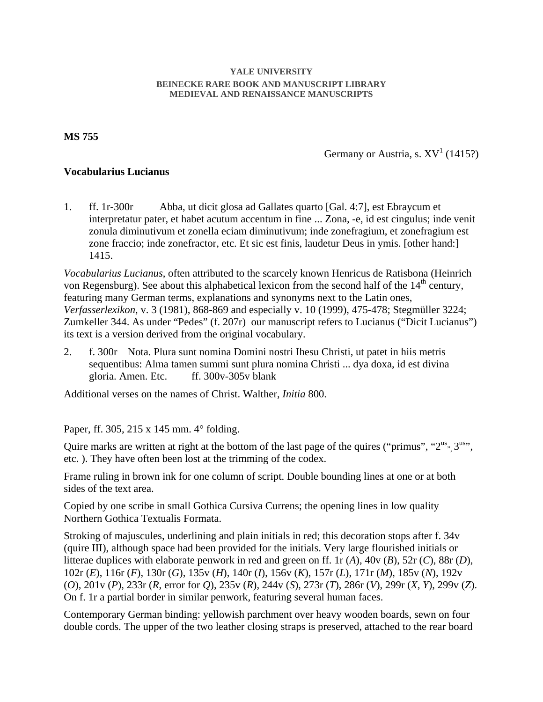## **YALE UNIVERSITY BEINECKE RARE BOOK AND MANUSCRIPT LIBRARY MEDIEVAL AND RENAISSANCE MANUSCRIPTS**

**MS 755**

Germany or Austria, s.  $XV^1$  (1415?)

## **Vocabularius Lucianus**

1. ff. 1r-300r Abba, ut dicit glosa ad Gallates quarto [Gal. 4:7], est Ebraycum et interpretatur pater, et habet acutum accentum in fine ... Zona, -e, id est cingulus; inde venit zonula diminutivum et zonella eciam diminutivum; inde zonefragium, et zonefragium est zone fraccio; inde zonefractor, etc. Et sic est finis, laudetur Deus in ymis. [other hand:] 1415.

*Vocabularius Lucianus*, often attributed to the scarcely known Henricus de Ratisbona (Heinrich von Regensburg). See about this alphabetical lexicon from the second half of the 14<sup>th</sup> century, featuring many German terms, explanations and synonyms next to the Latin ones, *Verfasserlexikon*, v. 3 (1981), 868-869 and especially v. 10 (1999), 475-478; Stegmüller 3224; Zumkeller 344. As under "Pedes" (f. 207r) our manuscript refers to Lucianus ("Dicit Lucianus") its text is a version derived from the original vocabulary.

2. f. 300r Nota. Plura sunt nomina Domini nostri Ihesu Christi, ut patet in hiis metris sequentibus: Alma tamen summi sunt plura nomina Christi ... dya doxa, id est divina gloria. Amen. Etc. ff. 300v-305v blank

Additional verses on the names of Christ. Walther, *Initia* 800.

Paper, ff. 305, 215 x 145 mm. 4° folding.

Quire marks are written at right at the bottom of the last page of the quires ("primus", " $2^{us}$ ",  $3^{us}$ ", etc. ). They have often been lost at the trimming of the codex.

Frame ruling in brown ink for one column of script. Double bounding lines at one or at both sides of the text area.

Copied by one scribe in small Gothica Cursiva Currens; the opening lines in low quality Northern Gothica Textualis Formata.

Stroking of majuscules, underlining and plain initials in red; this decoration stops after f. 34v (quire III), although space had been provided for the initials. Very large flourished initials or litterae duplices with elaborate penwork in red and green on ff. 1r (*A*), 40v (*B*), 52r (*C*), 88r (*D*), 102r (*E*), 116r (*F*), 130r (*G*), 135v (*H*), 140r (*I*), 156v (*K*), 157r (*L*), 171r (*M*), 185v (*N*), 192v (*O*), 201v (*P*), 233r (*R*, error for *Q*), 235v (*R*), 244v (*S*), 273r (*T*), 286r (*V*), 299r (*X*, *Y*), 299v (*Z*). On f. 1r a partial border in similar penwork, featuring several human faces.

Contemporary German binding: yellowish parchment over heavy wooden boards, sewn on four double cords. The upper of the two leather closing straps is preserved, attached to the rear board